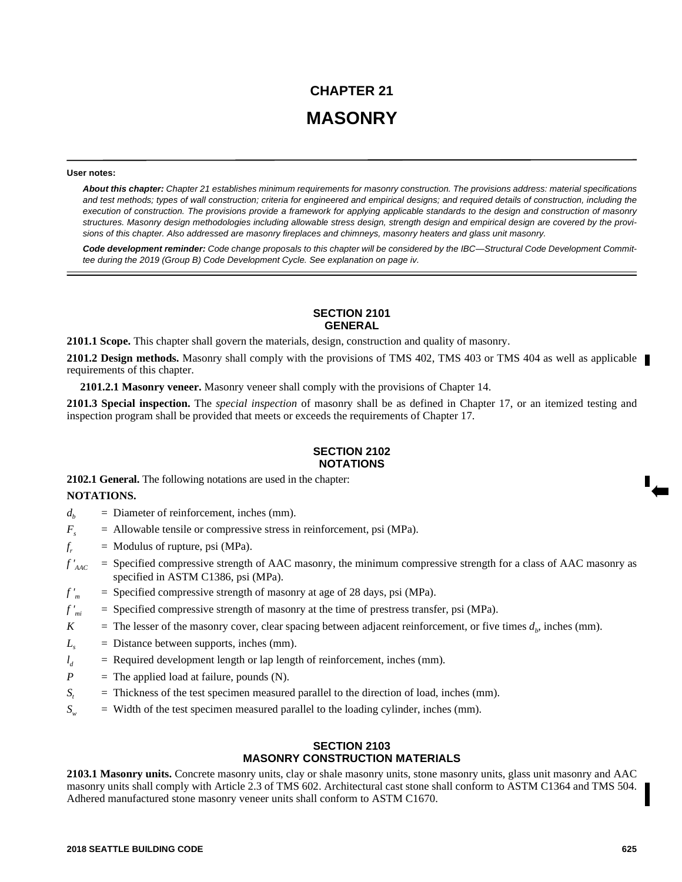# **CHAPTER 21 MASONRY**

#### **User notes:**

*About this chapter: Chapter 21 establishes minimum requirements for masonry construction. The provisions address: material specifications and test methods; types of wall construction; criteria for engineered and empirical designs; and required details of construction, including the execution of construction. The provisions provide a framework for applying applicable standards to the design and construction of masonry structures. Masonry design methodologies including allowable stress design, strength design and empirical design are covered by the provisions of this chapter. Also addressed are masonry fireplaces and chimneys, masonry heaters and glass unit masonry.*

*Code development reminder: Code change proposals to this chapter will be considered by the IBC—Structural Code Development Committee during the 2019 (Group B) Code Development Cycle. See explanation on page iv.*

## **SECTION 2101 GENERAL**

**2101.1 Scope.** This chapter shall govern the materials, design, construction and quality of masonry.

**2101.2 Design methods.** Masonry shall comply with the provisions of TMS 402, TMS 403 or TMS 404 as well as applicable requirements of this chapter.

**2101.2.1 Masonry veneer.** Masonry veneer shall comply with the provisions of Chapter 14.

**2101.3 Special inspection.** The *special inspection* of masonry shall be as defined in Chapter 17, or an itemized testing and inspection program shall be provided that meets or exceeds the requirements of Chapter 17.

### **SECTION 2102 NOTATIONS**

**2102.1 General.** The following notations are used in the chapter:

#### **NOTATIONS.**

- $d<sub>b</sub>$  = Diameter of reinforcement, inches (mm).
- $F<sub>z</sub>$  = Allowable tensile or compressive stress in reinforcement, psi (MPa).
- *f*  $=$  Modulus of rupture, psi (MPa).
- $f'_{\text{AAC}}$  = Specified compressive strength of AAC masonry, the minimum compressive strength for a class of AAC masonry as specified in ASTM C1386, psi (MPa).
- *f '<sup>m</sup>* = Specified compressive strength of masonry at age of 28 days, psi (MPa).
- *f 'mi* = Specified compressive strength of masonry at the time of prestress transfer, psi (MPa).
- *K* = The lesser of the masonry cover, clear spacing between adjacent reinforcement, or five times  $d_b$ , inches (mm).
- $L<sub>s</sub>$  = Distance between supports, inches (mm).
- $l_{\lambda}$ = Required development length or lap length of reinforcement, inches (mm).
- $P =$  The applied load at failure, pounds (N).
- *S*<sub>*t*</sub> = Thickness of the test specimen measured parallel to the direction of load, inches (mm).
- $S_w$  = Width of the test specimen measured parallel to the loading cylinder, inches (mm).

### **SECTION 2103 MASONRY CONSTRUCTION MATERIALS**

**2103.1 Masonry units.** Concrete masonry units, clay or shale masonry units, stone masonry units, glass unit masonry and AAC masonry units shall comply with Article 2.3 of TMS 602. Architectural cast stone shall conform to ASTM C1364 and TMS 504. Adhered manufactured stone masonry veneer units shall conform to ASTM C1670.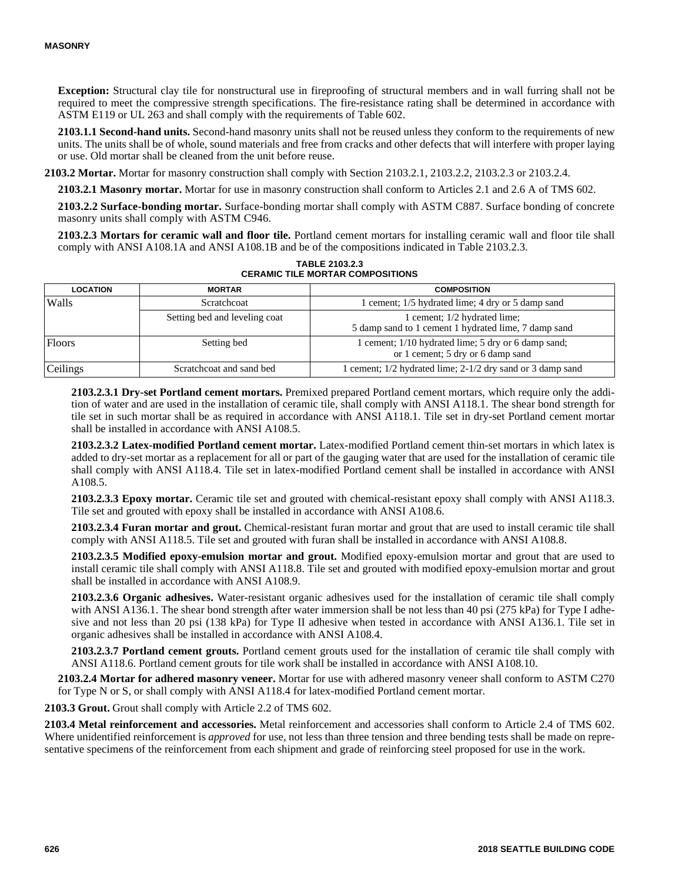**Exception:** Structural clay tile for nonstructural use in fireproofing of structural members and in wall furring shall not be required to meet the compressive strength specifications. The fire-resistance rating shall be determined in accordance with ASTM E119 or UL 263 and shall comply with the requirements of Table 602.

**2103.1.1 Second-hand units.** Second-hand masonry units shall not be reused unless they conform to the requirements of new units. The units shall be of whole, sound materials and free from cracks and other defects that will interfere with proper laying or use. Old mortar shall be cleaned from the unit before reuse.

**2103.2 Mortar.** Mortar for masonry construction shall comply with Section 2103.2.1, 2103.2.2, 2103.2.3 or 2103.2.4.

**2103.2.1 Masonry mortar.** Mortar for use in masonry construction shall conform to Articles 2.1 and 2.6 A of TMS 602.

**2103.2.2 Surface-bonding mortar.** Surface-bonding mortar shall comply with ASTM C887. Surface bonding of concrete masonry units shall comply with ASTM C946.

**2103.2.3 Mortars for ceramic wall and floor tile.** Portland cement mortars for installing ceramic wall and floor tile shall comply with ANSI A108.1A and ANSI A108.1B and be of the compositions indicated in Table 2103.2.3.

| <b>LOCATION</b> | <b>MORTAR</b>                 | <b>COMPOSITION</b>                                                                       |
|-----------------|-------------------------------|------------------------------------------------------------------------------------------|
| Walls           | Scratchcoat                   | 1 cement; 1/5 hydrated lime; 4 dry or 5 damp sand                                        |
|                 | Setting bed and leveling coat | 1 cement; 1/2 hydrated lime;<br>5 damp sand to 1 cement 1 hydrated lime, 7 damp sand     |
| <b>Floors</b>   | Setting bed                   | 1 cement; 1/10 hydrated lime; 5 dry or 6 damp sand;<br>or 1 cement; 5 dry or 6 damp sand |
| Ceilings        | Scratchcoat and sand bed      | 1 cement; 1/2 hydrated lime; 2-1/2 dry sand or 3 damp sand                               |

**TABLE 2103.2.3 CERAMIC TILE MORTAR COMPOSITIONS**

**2103.2.3.1 Dry-set Portland cement mortars.** Premixed prepared Portland cement mortars, which require only the addition of water and are used in the installation of ceramic tile, shall comply with ANSI A118.1. The shear bond strength for tile set in such mortar shall be as required in accordance with ANSI A118.1. Tile set in dry-set Portland cement mortar shall be installed in accordance with ANSI A108.5.

**2103.2.3.2 Latex-modified Portland cement mortar.** Latex-modified Portland cement thin-set mortars in which latex is added to dry-set mortar as a replacement for all or part of the gauging water that are used for the installation of ceramic tile shall comply with ANSI A118.4. Tile set in latex-modified Portland cement shall be installed in accordance with ANSI A108.5.

**2103.2.3.3 Epoxy mortar.** Ceramic tile set and grouted with chemical-resistant epoxy shall comply with ANSI A118.3. Tile set and grouted with epoxy shall be installed in accordance with ANSI A108.6.

**2103.2.3.4 Furan mortar and grout.** Chemical-resistant furan mortar and grout that are used to install ceramic tile shall comply with ANSI A118.5. Tile set and grouted with furan shall be installed in accordance with ANSI A108.8.

**2103.2.3.5 Modified epoxy-emulsion mortar and grout.** Modified epoxy-emulsion mortar and grout that are used to install ceramic tile shall comply with ANSI A118.8. Tile set and grouted with modified epoxy-emulsion mortar and grout shall be installed in accordance with ANSI A108.9.

**2103.2.3.6 Organic adhesives.** Water-resistant organic adhesives used for the installation of ceramic tile shall comply with ANSI A136.1. The shear bond strength after water immersion shall be not less than 40 psi (275 kPa) for Type I adhesive and not less than 20 psi (138 kPa) for Type II adhesive when tested in accordance with ANSI A136.1. Tile set in organic adhesives shall be installed in accordance with ANSI A108.4.

**2103.2.3.7 Portland cement grouts.** Portland cement grouts used for the installation of ceramic tile shall comply with ANSI A118.6. Portland cement grouts for tile work shall be installed in accordance with ANSI A108.10.

**2103.2.4 Mortar for adhered masonry veneer.** Mortar for use with adhered masonry veneer shall conform to ASTM C270 for Type N or S, or shall comply with ANSI A118.4 for latex-modified Portland cement mortar.

**2103.3 Grout.** Grout shall comply with Article 2.2 of TMS 602.

**2103.4 Metal reinforcement and accessories.** Metal reinforcement and accessories shall conform to Article 2.4 of TMS 602. Where unidentified reinforcement is *approved* for use, not less than three tension and three bending tests shall be made on representative specimens of the reinforcement from each shipment and grade of reinforcing steel proposed for use in the work.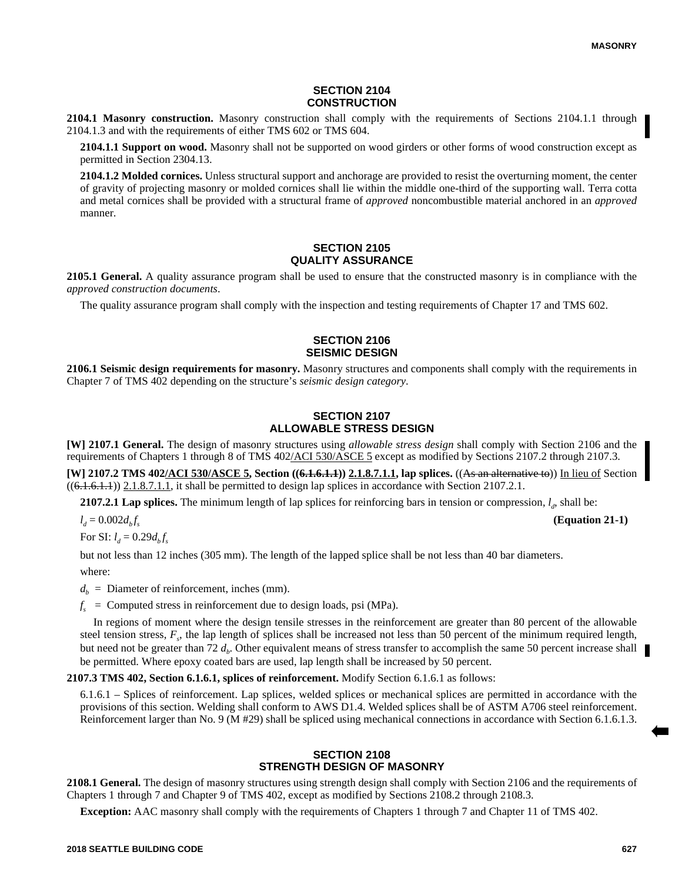#### **SECTION 2104 CONSTRUCTION**

**2104.1 Masonry construction.** Masonry construction shall comply with the requirements of Sections 2104.1.1 through 2104.1.3 and with the requirements of either TMS 602 or TMS 604.

**2104.1.1 Support on wood.** Masonry shall not be supported on wood girders or other forms of wood construction except as permitted in Section 2304.13.

**2104.1.2 Molded cornices.** Unless structural support and anchorage are provided to resist the overturning moment, the center of gravity of projecting masonry or molded cornices shall lie within the middle one-third of the supporting wall. Terra cotta and metal cornices shall be provided with a structural frame of *approved* noncombustible material anchored in an *approved* manner.

# **SECTION 2105 QUALITY ASSURANCE**

**2105.1 General.** A quality assurance program shall be used to ensure that the constructed masonry is in compliance with the *approved construction documents*.

The quality assurance program shall comply with the inspection and testing requirements of Chapter 17 and TMS 602.

#### **SECTION 2106 SEISMIC DESIGN**

**2106.1 Seismic design requirements for masonry.** Masonry structures and components shall comply with the requirements in Chapter 7 of TMS 402 depending on the structure's *seismic design category*.

# **SECTION 2107 ALLOWABLE STRESS DESIGN**

**[W] 2107.1 General.** The design of masonry structures using *allowable stress design* shall comply with Section 2106 and the requirements of Chapters 1 through 8 of TMS 402/ACI 530/ASCE 5 except as modified by Sections 2107.2 through 2107.3.

**[W] 2107.2 TMS 402/ACI 530/ASCE 5, Section (<del>(6.1.6.1.1)</del>) 2.1.8.7.1.1, lap splices. ((As an alternative to)) In lieu of Section**  $((6.1.6.1.1))$  2.1.8.7.1.1, it shall be permitted to design lap splices in accordance with Section 2107.2.1.

**2107.2.1 Lap splices.** The minimum length of lap splices for reinforcing bars in tension or compression,  $l_d$ , shall be:

 $l_d = 0.002 d_b f_s$ 

For SI:  $l_d = 0.29 d_b f_s$ 

but not less than 12 inches (305 mm). The length of the lapped splice shall be not less than 40 bar diameters.

where:

 $d<sub>b</sub>$  = Diameter of reinforcement, inches (mm).

 $f<sub>s</sub>$  = Computed stress in reinforcement due to design loads, psi (MPa).

In regions of moment where the design tensile stresses in the reinforcement are greater than 80 percent of the allowable steel tension stress,  $F_s$ , the lap length of splices shall be increased not less than 50 percent of the minimum required length, but need not be greater than 72  $d_b$ . Other equivalent means of stress transfer to accomplish the same 50 percent increase shall be permitted. Where epoxy coated bars are used, lap length shall be increased by 50 percent.

**2107.3 TMS 402, Section 6.1.6.1, splices of reinforcement.** Modify Section 6.1.6.1 as follows:

6.1.6.1 – Splices of reinforcement. Lap splices, welded splices or mechanical splices are permitted in accordance with the provisions of this section. Welding shall conform to AWS D1.4. Welded splices shall be of ASTM A706 steel reinforcement. Reinforcement larger than No. 9 (M #29) shall be spliced using mechanical connections in accordance with Section 6.1.6.1.3.

# **SECTION 2108 STRENGTH DESIGN OF MASONRY**

**2108.1 General.** The design of masonry structures using strength design shall comply with Section 2106 and the requirements of Chapters 1 through 7 and Chapter 9 of TMS 402, except as modified by Sections 2108.2 through 2108.3.

**Exception:** AAC masonry shall comply with the requirements of Chapters 1 through 7 and Chapter 11 of TMS 402.

**(Equation 21-1)**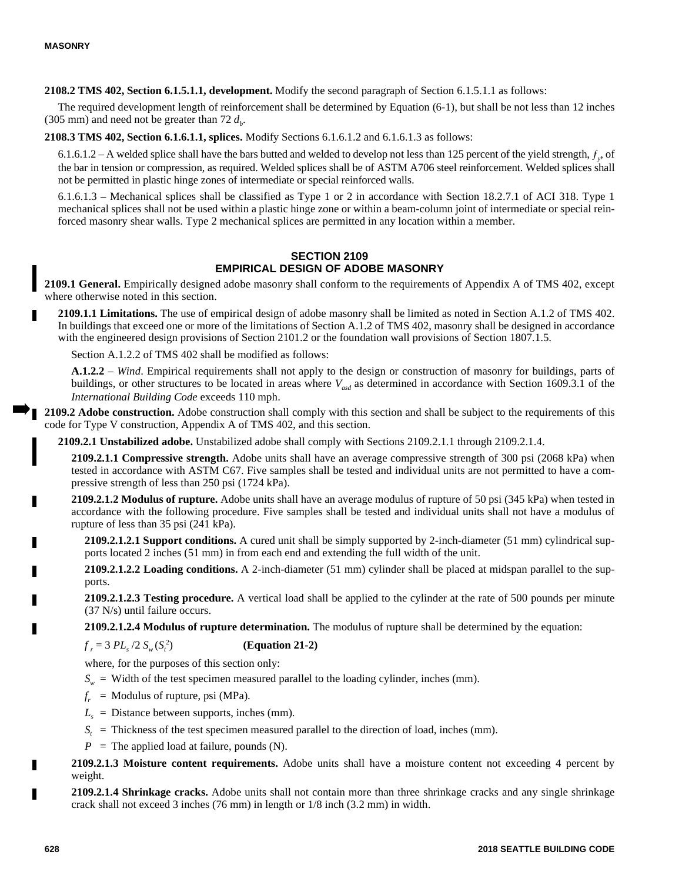**2108.2 TMS 402, Section 6.1.5.1.1, development.** Modify the second paragraph of Section 6.1.5.1.1 as follows:

The required development length of reinforcement shall be determined by Equation (6-1), but shall be not less than 12 inches (305 mm) and need not be greater than  $72 d_b$ .

**2108.3 TMS 402, Section 6.1.6.1.1, splices.** Modify Sections 6.1.6.1.2 and 6.1.6.1.3 as follows:

6.1.6.1.2 – A welded splice shall have the bars butted and welded to develop not less than 125 percent of the yield strength,  $f<sub>y</sub>$ , of the bar in tension or compression, as required. Welded splices shall be of ASTM A706 steel reinforcement. Welded splices shall not be permitted in plastic hinge zones of intermediate or special reinforced walls.

6.1.6.1.3 – Mechanical splices shall be classified as Type 1 or 2 in accordance with Section 18.2.7.1 of ACI 318. Type 1 mechanical splices shall not be used within a plastic hinge zone or within a beam-column joint of intermediate or special reinforced masonry shear walls. Type 2 mechanical splices are permitted in any location within a member.

#### **SECTION 2109 EMPIRICAL DESIGN OF ADOBE MASONRY**

**2109.1 General.** Empirically designed adobe masonry shall conform to the requirements of Appendix A of TMS 402, except where otherwise noted in this section.

**2109.1.1 Limitations.** The use of empirical design of adobe masonry shall be limited as noted in Section A.1.2 of TMS 402. In buildings that exceed one or more of the limitations of Section A.1.2 of TMS 402, masonry shall be designed in accordance with the engineered design provisions of Section 2101.2 or the foundation wall provisions of Section 1807.1.5.

Section A.1.2.2 of TMS 402 shall be modified as follows:

**A.1.2.2** – *Wind*. Empirical requirements shall not apply to the design or construction of masonry for buildings, parts of buildings, or other structures to be located in areas where *Vasd* as determined in accordance with Section 1609.3.1 of the *International Building Code* exceeds 110 mph.

**2109.2 Adobe construction.** Adobe construction shall comply with this section and shall be subject to the requirements of this code for Type V construction, Appendix A of TMS 402, and this section.

**2109.2.1 Unstabilized adobe.** Unstabilized adobe shall comply with Sections 2109.2.1.1 through 2109.2.1.4.

**2109.2.1.1 Compressive strength.** Adobe units shall have an average compressive strength of 300 psi (2068 kPa) when tested in accordance with ASTM C67. Five samples shall be tested and individual units are not permitted to have a compressive strength of less than 250 psi (1724 kPa).

**2109.2.1.2 Modulus of rupture.** Adobe units shall have an average modulus of rupture of 50 psi (345 kPa) when tested in accordance with the following procedure. Five samples shall be tested and individual units shall not have a modulus of rupture of less than 35 psi (241 kPa).

**2109.2.1.2.1 Support conditions.** A cured unit shall be simply supported by 2-inch-diameter (51 mm) cylindrical supports located 2 inches (51 mm) in from each end and extending the full width of the unit.

**2109.2.1.2.2 Loading conditions.** A 2-inch-diameter (51 mm) cylinder shall be placed at midspan parallel to the supports.

**2109.2.1.2.3 Testing procedure.** A vertical load shall be applied to the cylinder at the rate of 500 pounds per minute (37 N/s) until failure occurs.

**2109.2.1.2.4 Modulus of rupture determination.** The modulus of rupture shall be determined by the equation:

 $f_r = 3 PL_s / 2 S_w (S_t^2)$ ) **(Equation 21-2)**

where, for the purposes of this section only:

- $S_w$  = Width of the test specimen measured parallel to the loading cylinder, inches (mm).
- $f_r$  = Modulus of rupture, psi (MPa).
- $L<sub>s</sub>$  = Distance between supports, inches (mm).
- *S<sub>t</sub>* = Thickness of the test specimen measured parallel to the direction of load, inches (mm).
- $P =$  The applied load at failure, pounds (N).

**2109.2.1.3 Moisture content requirements.** Adobe units shall have a moisture content not exceeding 4 percent by weight.

**2109.2.1.4 Shrinkage cracks.** Adobe units shall not contain more than three shrinkage cracks and any single shrinkage crack shall not exceed 3 inches (76 mm) in length or 1/8 inch (3.2 mm) in width.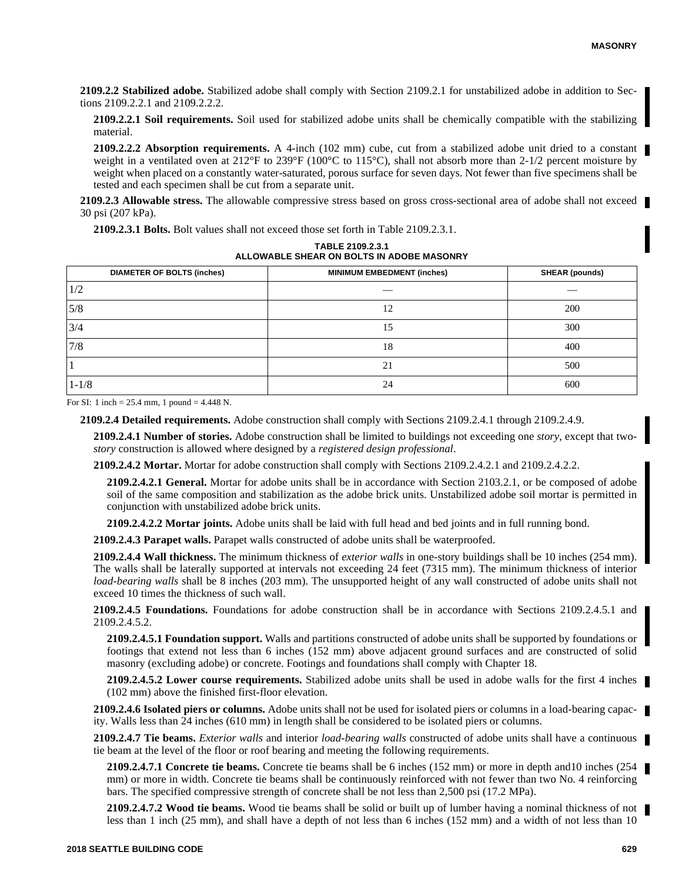**2109.2.2 Stabilized adobe.** Stabilized adobe shall comply with Section 2109.2.1 for unstabilized adobe in addition to Sections 2109.2.2.1 and 2109.2.2.2.

**2109.2.2.1 Soil requirements.** Soil used for stabilized adobe units shall be chemically compatible with the stabilizing material.

**2109.2.2.2 Absorption requirements.** A 4-inch (102 mm) cube, cut from a stabilized adobe unit dried to a constant weight in a ventilated oven at 212°F to 239°F (100°C to 115°C), shall not absorb more than 2-1/2 percent moisture by weight when placed on a constantly water-saturated, porous surface for seven days. Not fewer than five specimens shall be tested and each specimen shall be cut from a separate unit.

**2109.2.3 Allowable stress.** The allowable compressive stress based on gross cross-sectional area of adobe shall not exceed 30 psi (207 kPa).

**2109.2.3.1 Bolts.** Bolt values shall not exceed those set forth in Table 2109.2.3.1.

| TABLE 2109.2.3.1                          |  |  |
|-------------------------------------------|--|--|
| ALLOWABLE SHEAR ON BOLTS IN ADOBE MASONRY |  |  |

| <b>DIAMETER OF BOLTS (inches)</b> | <b>MINIMUM EMBEDMENT (inches)</b> | <b>SHEAR (pounds)</b> |
|-----------------------------------|-----------------------------------|-----------------------|
| 1/2                               |                                   |                       |
| 5/8                               | 12                                | 200                   |
| 3/4                               | 15                                | 300                   |
| 7/8                               | 18                                | 400                   |
|                                   | 21                                | 500                   |
| $1 - 1/8$                         | 24                                | 600                   |

For SI: 1 inch =  $25.4$  mm, 1 pound =  $4.448$  N.

**2109.2.4 Detailed requirements.** Adobe construction shall comply with Sections 2109.2.4.1 through 2109.2.4.9.

**2109.2.4.1 Number of stories.** Adobe construction shall be limited to buildings not exceeding one *story*, except that two*story* construction is allowed where designed by a *registered design professional*.

**2109.2.4.2 Mortar.** Mortar for adobe construction shall comply with Sections 2109.2.4.2.1 and 2109.2.4.2.2.

**2109.2.4.2.1 General.** Mortar for adobe units shall be in accordance with Section 2103.2.1, or be composed of adobe soil of the same composition and stabilization as the adobe brick units. Unstabilized adobe soil mortar is permitted in conjunction with unstabilized adobe brick units.

**2109.2.4.2.2 Mortar joints.** Adobe units shall be laid with full head and bed joints and in full running bond.

**2109.2.4.3 Parapet walls.** Parapet walls constructed of adobe units shall be waterproofed.

**2109.2.4.4 Wall thickness.** The minimum thickness of *exterior walls* in one-story buildings shall be 10 inches (254 mm). The walls shall be laterally supported at intervals not exceeding 24 feet (7315 mm). The minimum thickness of interior *load-bearing walls* shall be 8 inches (203 mm). The unsupported height of any wall constructed of adobe units shall not exceed 10 times the thickness of such wall.

**2109.2.4.5 Foundations.** Foundations for adobe construction shall be in accordance with Sections 2109.2.4.5.1 and 2109.2.4.5.2.

**2109.2.4.5.1 Foundation support.** Walls and partitions constructed of adobe units shall be supported by foundations or footings that extend not less than 6 inches (152 mm) above adjacent ground surfaces and are constructed of solid masonry (excluding adobe) or concrete. Footings and foundations shall comply with Chapter 18.

**2109.2.4.5.2 Lower course requirements.** Stabilized adobe units shall be used in adobe walls for the first 4 inches (102 mm) above the finished first-floor elevation.

**2109.2.4.6 Isolated piers or columns.** Adobe units shall not be used for isolated piers or columns in a load-bearing capacity. Walls less than 24 inches (610 mm) in length shall be considered to be isolated piers or columns.

**2109.2.4.7 Tie beams.** *Exterior walls* and interior *load-bearing walls* constructed of adobe units shall have a continuous tie beam at the level of the floor or roof bearing and meeting the following requirements.

**2109.2.4.7.1 Concrete tie beams.** Concrete tie beams shall be 6 inches (152 mm) or more in depth and10 inches (254 mm) or more in width. Concrete tie beams shall be continuously reinforced with not fewer than two No. 4 reinforcing bars. The specified compressive strength of concrete shall be not less than 2,500 psi (17.2 MPa).

**2109.2.4.7.2 Wood tie beams.** Wood tie beams shall be solid or built up of lumber having a nominal thickness of not less than 1 inch (25 mm), and shall have a depth of not less than 6 inches (152 mm) and a width of not less than 10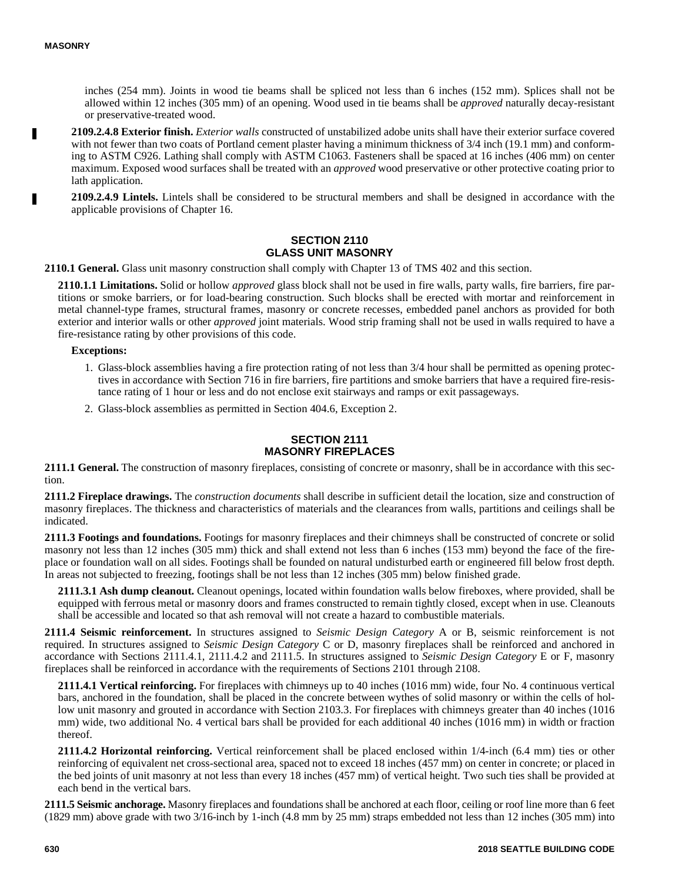inches (254 mm). Joints in wood tie beams shall be spliced not less than 6 inches (152 mm). Splices shall not be allowed within 12 inches (305 mm) of an opening. Wood used in tie beams shall be *approved* naturally decay-resistant or preservative-treated wood.

**2109.2.4.8 Exterior finish.** *Exterior walls* constructed of unstabilized adobe units shall have their exterior surface covered with not fewer than two coats of Portland cement plaster having a minimum thickness of  $3/4$  inch (19.1 mm) and conforming to ASTM C926. Lathing shall comply with ASTM C1063. Fasteners shall be spaced at 16 inches (406 mm) on center maximum. Exposed wood surfaces shall be treated with an *approved* wood preservative or other protective coating prior to lath application.

**2109.2.4.9 Lintels.** Lintels shall be considered to be structural members and shall be designed in accordance with the applicable provisions of Chapter 16.

#### **SECTION 2110 GLASS UNIT MASONRY**

**2110.1 General.** Glass unit masonry construction shall comply with Chapter 13 of TMS 402 and this section.

**2110.1.1 Limitations.** Solid or hollow *approved* glass block shall not be used in fire walls, party walls, fire barriers, fire partitions or smoke barriers, or for load-bearing construction. Such blocks shall be erected with mortar and reinforcement in metal channel-type frames, structural frames, masonry or concrete recesses, embedded panel anchors as provided for both exterior and interior walls or other *approved* joint materials. Wood strip framing shall not be used in walls required to have a fire-resistance rating by other provisions of this code.

**Exceptions:**

- 1. Glass-block assemblies having a fire protection rating of not less than 3/4 hour shall be permitted as opening protectives in accordance with Section 716 in fire barriers, fire partitions and smoke barriers that have a required fire-resistance rating of 1 hour or less and do not enclose exit stairways and ramps or exit passageways.
- 2. Glass-block assemblies as permitted in Section 404.6, Exception 2.

#### **SECTION 2111 MASONRY FIREPLACES**

**2111.1 General.** The construction of masonry fireplaces, consisting of concrete or masonry, shall be in accordance with this section.

**2111.2 Fireplace drawings.** The *construction documents* shall describe in sufficient detail the location, size and construction of masonry fireplaces. The thickness and characteristics of materials and the clearances from walls, partitions and ceilings shall be indicated.

**2111.3 Footings and foundations.** Footings for masonry fireplaces and their chimneys shall be constructed of concrete or solid masonry not less than 12 inches (305 mm) thick and shall extend not less than 6 inches (153 mm) beyond the face of the fireplace or foundation wall on all sides. Footings shall be founded on natural undisturbed earth or engineered fill below frost depth. In areas not subjected to freezing, footings shall be not less than 12 inches (305 mm) below finished grade.

**2111.3.1 Ash dump cleanout.** Cleanout openings, located within foundation walls below fireboxes, where provided, shall be equipped with ferrous metal or masonry doors and frames constructed to remain tightly closed, except when in use. Cleanouts shall be accessible and located so that ash removal will not create a hazard to combustible materials.

**2111.4 Seismic reinforcement.** In structures assigned to *Seismic Design Category* A or B, seismic reinforcement is not required. In structures assigned to *Seismic Design Category* C or D, masonry fireplaces shall be reinforced and anchored in accordance with Sections 2111.4.1, 2111.4.2 and 2111.5. In structures assigned to *Seismic Design Category* E or F, masonry fireplaces shall be reinforced in accordance with the requirements of Sections 2101 through 2108.

**2111.4.1 Vertical reinforcing.** For fireplaces with chimneys up to 40 inches (1016 mm) wide, four No. 4 continuous vertical bars, anchored in the foundation, shall be placed in the concrete between wythes of solid masonry or within the cells of hollow unit masonry and grouted in accordance with Section 2103.3. For fireplaces with chimneys greater than 40 inches (1016) mm) wide, two additional No. 4 vertical bars shall be provided for each additional 40 inches (1016 mm) in width or fraction thereof.

**2111.4.2 Horizontal reinforcing.** Vertical reinforcement shall be placed enclosed within 1/4-inch (6.4 mm) ties or other reinforcing of equivalent net cross-sectional area, spaced not to exceed 18 inches (457 mm) on center in concrete; or placed in the bed joints of unit masonry at not less than every 18 inches (457 mm) of vertical height. Two such ties shall be provided at each bend in the vertical bars.

**2111.5 Seismic anchorage.** Masonry fireplaces and foundations shall be anchored at each floor, ceiling or roof line more than 6 feet (1829 mm) above grade with two 3/16-inch by 1-inch (4.8 mm by 25 mm) straps embedded not less than 12 inches (305 mm) into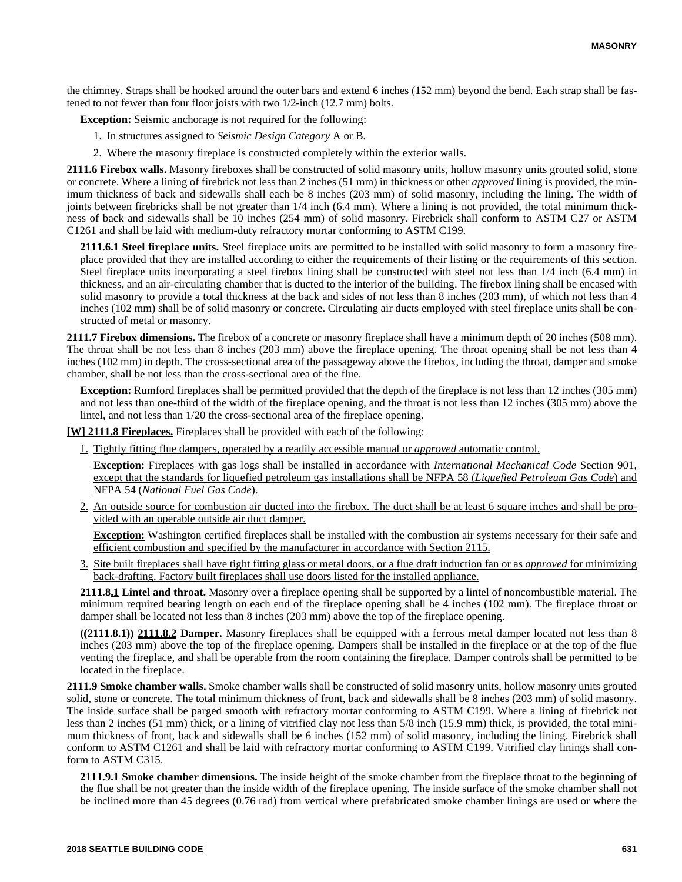the chimney. Straps shall be hooked around the outer bars and extend 6 inches (152 mm) beyond the bend. Each strap shall be fastened to not fewer than four floor joists with two 1/2-inch (12.7 mm) bolts.

**Exception:** Seismic anchorage is not required for the following:

- 1. In structures assigned to *Seismic Design Category* A or B.
- 2. Where the masonry fireplace is constructed completely within the exterior walls.

**2111.6 Firebox walls.** Masonry fireboxes shall be constructed of solid masonry units, hollow masonry units grouted solid, stone or concrete. Where a lining of firebrick not less than 2 inches (51 mm) in thickness or other *approved* lining is provided, the minimum thickness of back and sidewalls shall each be 8 inches (203 mm) of solid masonry, including the lining. The width of joints between firebricks shall be not greater than 1/4 inch (6.4 mm). Where a lining is not provided, the total minimum thickness of back and sidewalls shall be 10 inches (254 mm) of solid masonry. Firebrick shall conform to ASTM C27 or ASTM C1261 and shall be laid with medium-duty refractory mortar conforming to ASTM C199.

**2111.6.1 Steel fireplace units.** Steel fireplace units are permitted to be installed with solid masonry to form a masonry fireplace provided that they are installed according to either the requirements of their listing or the requirements of this section. Steel fireplace units incorporating a steel firebox lining shall be constructed with steel not less than 1/4 inch (6.4 mm) in thickness, and an air-circulating chamber that is ducted to the interior of the building. The firebox lining shall be encased with solid masonry to provide a total thickness at the back and sides of not less than 8 inches (203 mm), of which not less than 4 inches (102 mm) shall be of solid masonry or concrete. Circulating air ducts employed with steel fireplace units shall be constructed of metal or masonry.

**2111.7 Firebox dimensions.** The firebox of a concrete or masonry fireplace shall have a minimum depth of 20 inches (508 mm). The throat shall be not less than 8 inches (203 mm) above the fireplace opening. The throat opening shall be not less than 4 inches (102 mm) in depth. The cross-sectional area of the passageway above the firebox, including the throat, damper and smoke chamber, shall be not less than the cross-sectional area of the flue.

**Exception:** Rumford fireplaces shall be permitted provided that the depth of the fireplace is not less than 12 inches (305 mm) and not less than one-third of the width of the fireplace opening, and the throat is not less than 12 inches (305 mm) above the lintel, and not less than 1/20 the cross-sectional area of the fireplace opening.

**[W] 2111.8 Fireplaces.** Fireplaces shall be provided with each of the following:

1. Tightly fitting flue dampers, operated by a readily accessible manual or *approved* automatic control.

**Exception:** Fireplaces with gas logs shall be installed in accordance with *International Mechanical Code* Section 901, except that the standards for liquefied petroleum gas installations shall be NFPA 58 (*Liquefied Petroleum Gas Code*) and NFPA 54 (*National Fuel Gas Code*).

2. An outside source for combustion air ducted into the firebox. The duct shall be at least 6 square inches and shall be provided with an operable outside air duct damper.

**Exception:** Washington certified fireplaces shall be installed with the combustion air systems necessary for their safe and efficient combustion and specified by the manufacturer in accordance with Section 2115.

3. Site built fireplaces shall have tight fitting glass or metal doors, or a flue draft induction fan or as *approved* for minimizing back-drafting. Factory built fireplaces shall use doors listed for the installed appliance.

**2111.8.1 Lintel and throat.** Masonry over a fireplace opening shall be supported by a lintel of noncombustible material. The minimum required bearing length on each end of the fireplace opening shall be 4 inches (102 mm). The fireplace throat or damper shall be located not less than 8 inches (203 mm) above the top of the fireplace opening.

**((2111.8.1)) 2111.8.2 Damper.** Masonry fireplaces shall be equipped with a ferrous metal damper located not less than 8 inches (203 mm) above the top of the fireplace opening. Dampers shall be installed in the fireplace or at the top of the flue venting the fireplace, and shall be operable from the room containing the fireplace. Damper controls shall be permitted to be located in the fireplace.

**2111.9 Smoke chamber walls.** Smoke chamber walls shall be constructed of solid masonry units, hollow masonry units grouted solid, stone or concrete. The total minimum thickness of front, back and sidewalls shall be 8 inches (203 mm) of solid masonry. The inside surface shall be parged smooth with refractory mortar conforming to ASTM C199. Where a lining of firebrick not less than 2 inches (51 mm) thick, or a lining of vitrified clay not less than 5/8 inch (15.9 mm) thick, is provided, the total minimum thickness of front, back and sidewalls shall be 6 inches (152 mm) of solid masonry, including the lining. Firebrick shall conform to ASTM C1261 and shall be laid with refractory mortar conforming to ASTM C199. Vitrified clay linings shall conform to ASTM C315.

**2111.9.1 Smoke chamber dimensions.** The inside height of the smoke chamber from the fireplace throat to the beginning of the flue shall be not greater than the inside width of the fireplace opening. The inside surface of the smoke chamber shall not be inclined more than 45 degrees (0.76 rad) from vertical where prefabricated smoke chamber linings are used or where the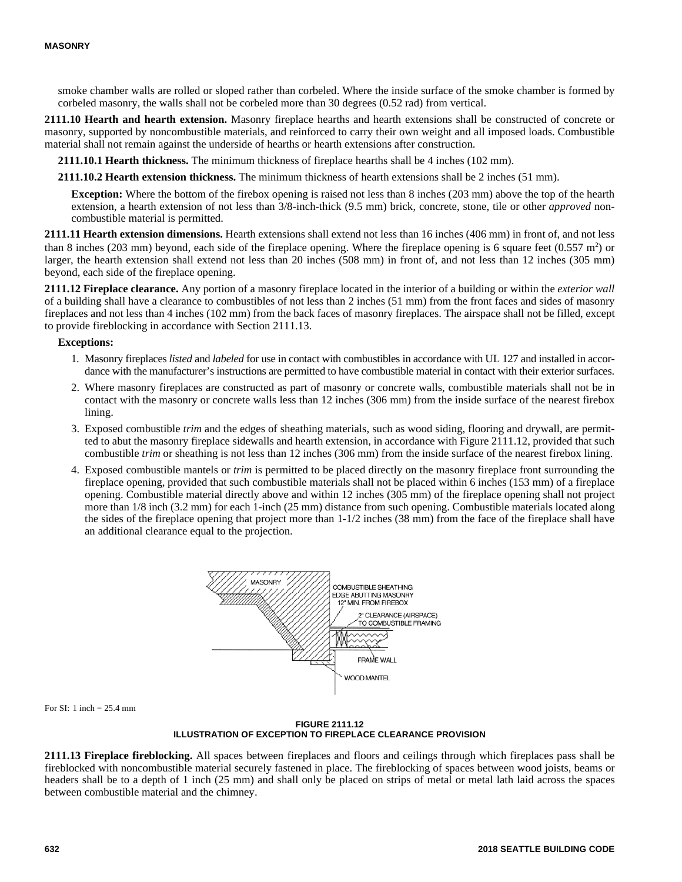smoke chamber walls are rolled or sloped rather than corbeled. Where the inside surface of the smoke chamber is formed by corbeled masonry, the walls shall not be corbeled more than 30 degrees (0.52 rad) from vertical.

**2111.10 Hearth and hearth extension.** Masonry fireplace hearths and hearth extensions shall be constructed of concrete or masonry, supported by noncombustible materials, and reinforced to carry their own weight and all imposed loads. Combustible material shall not remain against the underside of hearths or hearth extensions after construction.

**2111.10.1 Hearth thickness.** The minimum thickness of fireplace hearths shall be 4 inches (102 mm).

**2111.10.2 Hearth extension thickness.** The minimum thickness of hearth extensions shall be 2 inches (51 mm).

**Exception:** Where the bottom of the firebox opening is raised not less than 8 inches (203 mm) above the top of the hearth extension, a hearth extension of not less than 3/8-inch-thick (9.5 mm) brick, concrete, stone, tile or other *approved* noncombustible material is permitted.

**2111.11 Hearth extension dimensions.** Hearth extensions shall extend not less than 16 inches (406 mm) in front of, and not less than 8 inches (203 mm) beyond, each side of the fireplace opening. Where the fireplace opening is 6 square feet  $(0.557 \text{ m}^2)$  or larger, the hearth extension shall extend not less than 20 inches (508 mm) in front of, and not less than 12 inches (305 mm) beyond, each side of the fireplace opening.

**2111.12 Fireplace clearance.** Any portion of a masonry fireplace located in the interior of a building or within the *exterior wall* of a building shall have a clearance to combustibles of not less than 2 inches (51 mm) from the front faces and sides of masonry fireplaces and not less than 4 inches (102 mm) from the back faces of masonry fireplaces. The airspace shall not be filled, except to provide fireblocking in accordance with Section 2111.13.

#### **Exceptions:**

- 1. Masonry fireplaces *listed* and *labeled* for use in contact with combustibles in accordance with UL 127 and installed in accordance with the manufacturer's instructions are permitted to have combustible material in contact with their exterior surfaces.
- 2. Where masonry fireplaces are constructed as part of masonry or concrete walls, combustible materials shall not be in contact with the masonry or concrete walls less than 12 inches (306 mm) from the inside surface of the nearest firebox lining.
- 3. Exposed combustible *trim* and the edges of sheathing materials, such as wood siding, flooring and drywall, are permitted to abut the masonry fireplace sidewalls and hearth extension, in accordance with Figure 2111.12, provided that such combustible *trim* or sheathing is not less than 12 inches (306 mm) from the inside surface of the nearest firebox lining.
- 4. Exposed combustible mantels or *trim* is permitted to be placed directly on the masonry fireplace front surrounding the fireplace opening, provided that such combustible materials shall not be placed within 6 inches (153 mm) of a fireplace opening. Combustible material directly above and within 12 inches (305 mm) of the fireplace opening shall not project more than 1/8 inch (3.2 mm) for each 1-inch (25 mm) distance from such opening. Combustible materials located along the sides of the fireplace opening that project more than 1-1/2 inches (38 mm) from the face of the fireplace shall have an additional clearance equal to the projection.



For SI: 1 inch  $= 25.4$  mm

**FIGURE 2111.12 ILLUSTRATION OF EXCEPTION TO FIREPLACE CLEARANCE PROVISION**

**2111.13 Fireplace fireblocking.** All spaces between fireplaces and floors and ceilings through which fireplaces pass shall be fireblocked with noncombustible material securely fastened in place. The fireblocking of spaces between wood joists, beams or headers shall be to a depth of 1 inch (25 mm) and shall only be placed on strips of metal or metal lath laid across the spaces between combustible material and the chimney.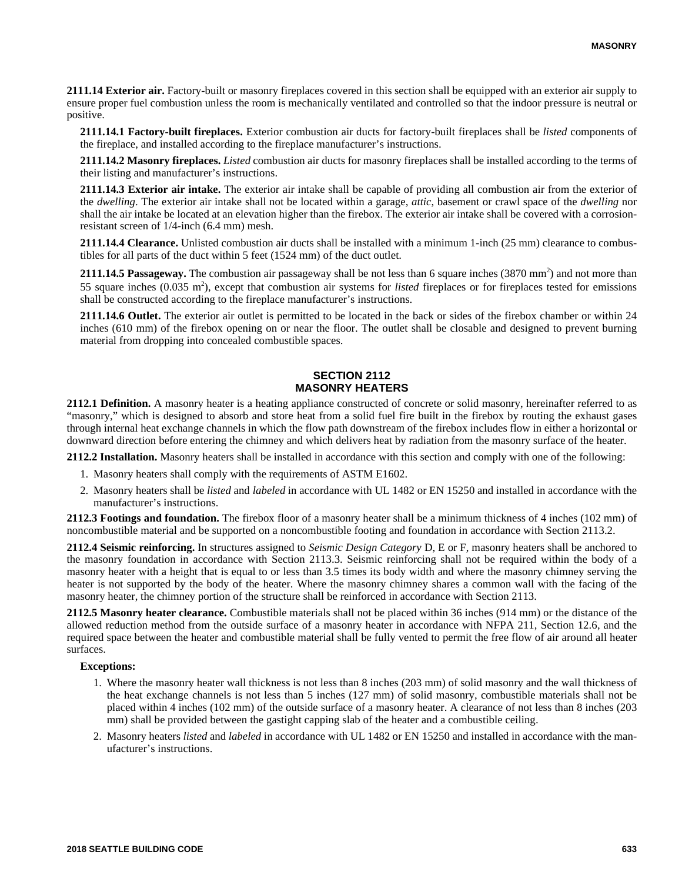**2111.14 Exterior air.** Factory-built or masonry fireplaces covered in this section shall be equipped with an exterior air supply to ensure proper fuel combustion unless the room is mechanically ventilated and controlled so that the indoor pressure is neutral or positive.

**2111.14.1 Factory-built fireplaces.** Exterior combustion air ducts for factory-built fireplaces shall be *listed* components of the fireplace, and installed according to the fireplace manufacturer's instructions.

**2111.14.2 Masonry fireplaces.** *Listed* combustion air ducts for masonry fireplaces shall be installed according to the terms of their listing and manufacturer's instructions.

**2111.14.3 Exterior air intake.** The exterior air intake shall be capable of providing all combustion air from the exterior of the *dwelling*. The exterior air intake shall not be located within a garage, *attic*, basement or crawl space of the *dwelling* nor shall the air intake be located at an elevation higher than the firebox. The exterior air intake shall be covered with a corrosionresistant screen of 1/4-inch (6.4 mm) mesh.

**2111.14.4 Clearance.** Unlisted combustion air ducts shall be installed with a minimum 1-inch (25 mm) clearance to combustibles for all parts of the duct within 5 feet (1524 mm) of the duct outlet.

2111.14.5 Passageway. The combustion air passageway shall be not less than 6 square inches (3870 mm<sup>2</sup>) and not more than 55 square inches (0.035 m<sup>2</sup>), except that combustion air systems for *listed* fireplaces or for fireplaces tested for emissions shall be constructed according to the fireplace manufacturer's instructions.

**2111.14.6 Outlet.** The exterior air outlet is permitted to be located in the back or sides of the firebox chamber or within 24 inches (610 mm) of the firebox opening on or near the floor. The outlet shall be closable and designed to prevent burning material from dropping into concealed combustible spaces.

#### **SECTION 2112 MASONRY HEATERS**

**2112.1 Definition.** A masonry heater is a heating appliance constructed of concrete or solid masonry, hereinafter referred to as "masonry," which is designed to absorb and store heat from a solid fuel fire built in the firebox by routing the exhaust gases through internal heat exchange channels in which the flow path downstream of the firebox includes flow in either a horizontal or downward direction before entering the chimney and which delivers heat by radiation from the masonry surface of the heater.

**2112.2 Installation.** Masonry heaters shall be installed in accordance with this section and comply with one of the following:

- 1. Masonry heaters shall comply with the requirements of ASTM E1602.
- 2. Masonry heaters shall be *listed* and *labeled* in accordance with UL 1482 or EN 15250 and installed in accordance with the manufacturer's instructions.

**2112.3 Footings and foundation.** The firebox floor of a masonry heater shall be a minimum thickness of 4 inches (102 mm) of noncombustible material and be supported on a noncombustible footing and foundation in accordance with Section 2113.2.

**2112.4 Seismic reinforcing.** In structures assigned to *Seismic Design Category* D, E or F, masonry heaters shall be anchored to the masonry foundation in accordance with Section 2113.3. Seismic reinforcing shall not be required within the body of a masonry heater with a height that is equal to or less than 3.5 times its body width and where the masonry chimney serving the heater is not supported by the body of the heater. Where the masonry chimney shares a common wall with the facing of the masonry heater, the chimney portion of the structure shall be reinforced in accordance with Section 2113.

**2112.5 Masonry heater clearance.** Combustible materials shall not be placed within 36 inches (914 mm) or the distance of the allowed reduction method from the outside surface of a masonry heater in accordance with NFPA 211, Section 12.6, and the required space between the heater and combustible material shall be fully vented to permit the free flow of air around all heater surfaces.

#### **Exceptions:**

- 1. Where the masonry heater wall thickness is not less than 8 inches (203 mm) of solid masonry and the wall thickness of the heat exchange channels is not less than 5 inches (127 mm) of solid masonry, combustible materials shall not be placed within 4 inches (102 mm) of the outside surface of a masonry heater. A clearance of not less than 8 inches (203 mm) shall be provided between the gastight capping slab of the heater and a combustible ceiling.
- 2. Masonry heaters *listed* and *labeled* in accordance with UL 1482 or EN 15250 and installed in accordance with the manufacturer's instructions.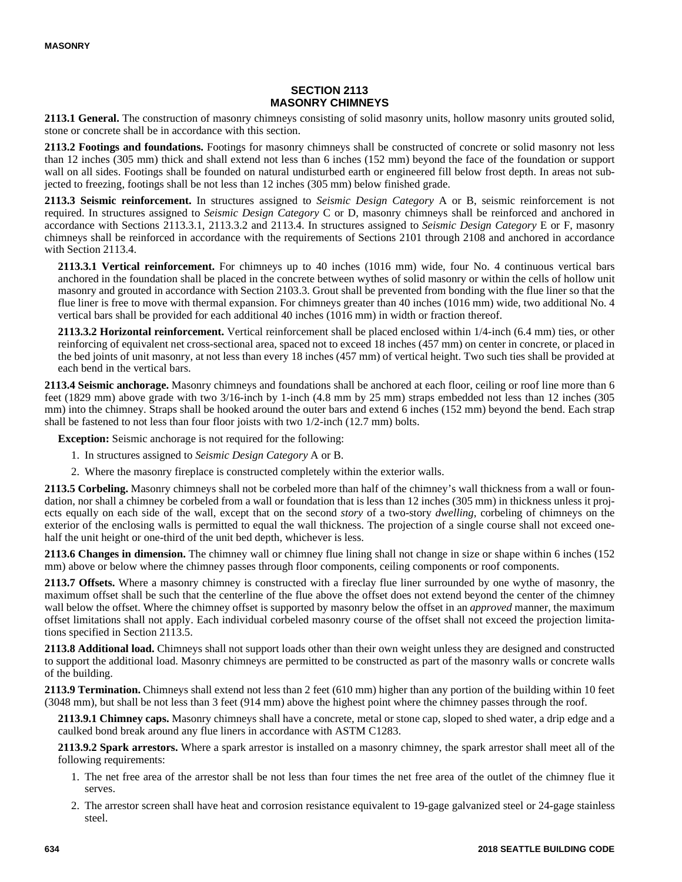# **SECTION 2113 MASONRY CHIMNEYS**

**2113.1 General.** The construction of masonry chimneys consisting of solid masonry units, hollow masonry units grouted solid, stone or concrete shall be in accordance with this section.

**2113.2 Footings and foundations.** Footings for masonry chimneys shall be constructed of concrete or solid masonry not less than 12 inches (305 mm) thick and shall extend not less than 6 inches (152 mm) beyond the face of the foundation or support wall on all sides. Footings shall be founded on natural undisturbed earth or engineered fill below frost depth. In areas not subjected to freezing, footings shall be not less than 12 inches (305 mm) below finished grade.

**2113.3 Seismic reinforcement.** In structures assigned to *Seismic Design Category* A or B, seismic reinforcement is not required. In structures assigned to *Seismic Design Category* C or D, masonry chimneys shall be reinforced and anchored in accordance with Sections 2113.3.1, 2113.3.2 and 2113.4. In structures assigned to *Seismic Design Category* E or F, masonry chimneys shall be reinforced in accordance with the requirements of Sections 2101 through 2108 and anchored in accordance with Section 2113.4.

**2113.3.1 Vertical reinforcement.** For chimneys up to 40 inches (1016 mm) wide, four No. 4 continuous vertical bars anchored in the foundation shall be placed in the concrete between wythes of solid masonry or within the cells of hollow unit masonry and grouted in accordance with Section 2103.3. Grout shall be prevented from bonding with the flue liner so that the flue liner is free to move with thermal expansion. For chimneys greater than 40 inches (1016 mm) wide, two additional No. 4 vertical bars shall be provided for each additional 40 inches (1016 mm) in width or fraction thereof.

**2113.3.2 Horizontal reinforcement.** Vertical reinforcement shall be placed enclosed within 1/4-inch (6.4 mm) ties, or other reinforcing of equivalent net cross-sectional area, spaced not to exceed 18 inches (457 mm) on center in concrete, or placed in the bed joints of unit masonry, at not less than every 18 inches (457 mm) of vertical height. Two such ties shall be provided at each bend in the vertical bars.

**2113.4 Seismic anchorage.** Masonry chimneys and foundations shall be anchored at each floor, ceiling or roof line more than 6 feet (1829 mm) above grade with two 3/16-inch by 1-inch (4.8 mm by 25 mm) straps embedded not less than 12 inches (305 mm) into the chimney. Straps shall be hooked around the outer bars and extend 6 inches (152 mm) beyond the bend. Each strap shall be fastened to not less than four floor joists with two 1/2-inch (12.7 mm) bolts.

**Exception:** Seismic anchorage is not required for the following:

- 1. In structures assigned to *Seismic Design Category* A or B.
- 2. Where the masonry fireplace is constructed completely within the exterior walls.

**2113.5 Corbeling.** Masonry chimneys shall not be corbeled more than half of the chimney's wall thickness from a wall or foundation, nor shall a chimney be corbeled from a wall or foundation that is less than 12 inches (305 mm) in thickness unless it projects equally on each side of the wall, except that on the second *story* of a two-story *dwelling*, corbeling of chimneys on the exterior of the enclosing walls is permitted to equal the wall thickness. The projection of a single course shall not exceed onehalf the unit height or one-third of the unit bed depth, whichever is less.

**2113.6 Changes in dimension.** The chimney wall or chimney flue lining shall not change in size or shape within 6 inches (152 mm) above or below where the chimney passes through floor components, ceiling components or roof components.

**2113.7 Offsets.** Where a masonry chimney is constructed with a fireclay flue liner surrounded by one wythe of masonry, the maximum offset shall be such that the centerline of the flue above the offset does not extend beyond the center of the chimney wall below the offset. Where the chimney offset is supported by masonry below the offset in an *approved* manner, the maximum offset limitations shall not apply. Each individual corbeled masonry course of the offset shall not exceed the projection limitations specified in Section 2113.5.

**2113.8 Additional load.** Chimneys shall not support loads other than their own weight unless they are designed and constructed to support the additional load. Masonry chimneys are permitted to be constructed as part of the masonry walls or concrete walls of the building.

**2113.9 Termination.** Chimneys shall extend not less than 2 feet (610 mm) higher than any portion of the building within 10 feet (3048 mm), but shall be not less than 3 feet (914 mm) above the highest point where the chimney passes through the roof.

**2113.9.1 Chimney caps.** Masonry chimneys shall have a concrete, metal or stone cap, sloped to shed water, a drip edge and a caulked bond break around any flue liners in accordance with ASTM C1283.

**2113.9.2 Spark arrestors.** Where a spark arrestor is installed on a masonry chimney, the spark arrestor shall meet all of the following requirements:

- 1. The net free area of the arrestor shall be not less than four times the net free area of the outlet of the chimney flue it serves.
- 2. The arrestor screen shall have heat and corrosion resistance equivalent to 19-gage galvanized steel or 24-gage stainless steel.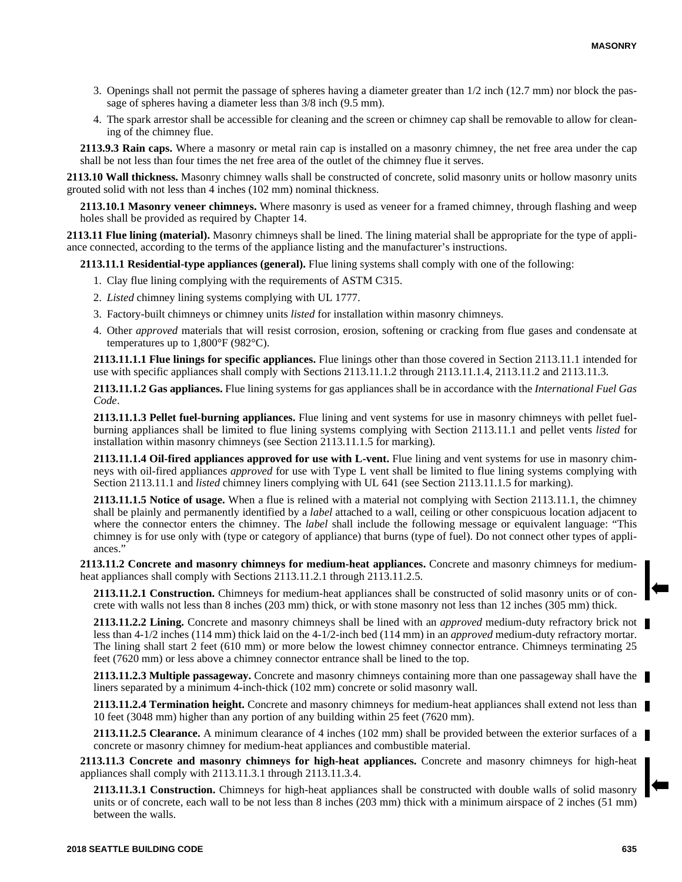- 3. Openings shall not permit the passage of spheres having a diameter greater than 1/2 inch (12.7 mm) nor block the passage of spheres having a diameter less than 3/8 inch (9.5 mm).
- 4. The spark arrestor shall be accessible for cleaning and the screen or chimney cap shall be removable to allow for cleaning of the chimney flue.

**2113.9.3 Rain caps.** Where a masonry or metal rain cap is installed on a masonry chimney, the net free area under the cap shall be not less than four times the net free area of the outlet of the chimney flue it serves.

**2113.10 Wall thickness.** Masonry chimney walls shall be constructed of concrete, solid masonry units or hollow masonry units grouted solid with not less than 4 inches (102 mm) nominal thickness.

**2113.10.1 Masonry veneer chimneys.** Where masonry is used as veneer for a framed chimney, through flashing and weep holes shall be provided as required by Chapter 14.

**2113.11 Flue lining (material).** Masonry chimneys shall be lined. The lining material shall be appropriate for the type of appliance connected, according to the terms of the appliance listing and the manufacturer's instructions.

**2113.11.1 Residential-type appliances (general).** Flue lining systems shall comply with one of the following:

- 1. Clay flue lining complying with the requirements of ASTM C315.
- 2. *Listed* chimney lining systems complying with UL 1777.
- 3. Factory-built chimneys or chimney units *listed* for installation within masonry chimneys.
- 4. Other *approved* materials that will resist corrosion, erosion, softening or cracking from flue gases and condensate at temperatures up to  $1,800^{\circ}$ F (982 $^{\circ}$ C).

**2113.11.1.1 Flue linings for specific appliances.** Flue linings other than those covered in Section 2113.11.1 intended for use with specific appliances shall comply with Sections 2113.11.1.2 through 2113.11.1.4, 2113.11.2 and 2113.11.3.

**2113.11.1.2 Gas appliances.** Flue lining systems for gas appliances shall be in accordance with the *International Fuel Gas Code*.

**2113.11.1.3 Pellet fuel-burning appliances.** Flue lining and vent systems for use in masonry chimneys with pellet fuelburning appliances shall be limited to flue lining systems complying with Section 2113.11.1 and pellet vents *listed* for installation within masonry chimneys (see Section 2113.11.1.5 for marking).

**2113.11.1.4 Oil-fired appliances approved for use with L-vent.** Flue lining and vent systems for use in masonry chimneys with oil-fired appliances *approved* for use with Type L vent shall be limited to flue lining systems complying with Section 2113.11.1 and *listed* chimney liners complying with UL 641 (see Section 2113.11.1.5 for marking).

**2113.11.1.5 Notice of usage.** When a flue is relined with a material not complying with Section 2113.11.1, the chimney shall be plainly and permanently identified by a *label* attached to a wall, ceiling or other conspicuous location adjacent to where the connector enters the chimney. The *label* shall include the following message or equivalent language: "This chimney is for use only with (type or category of appliance) that burns (type of fuel). Do not connect other types of appliances."

**2113.11.2 Concrete and masonry chimneys for medium-heat appliances.** Concrete and masonry chimneys for mediumheat appliances shall comply with Sections 2113.11.2.1 through 2113.11.2.5.

**2113.11.2.1 Construction.** Chimneys for medium-heat appliances shall be constructed of solid masonry units or of concrete with walls not less than 8 inches (203 mm) thick, or with stone masonry not less than 12 inches (305 mm) thick.

**2113.11.2.2 Lining.** Concrete and masonry chimneys shall be lined with an *approved* medium-duty refractory brick not less than 4-1/2 inches (114 mm) thick laid on the 4-1/2-inch bed (114 mm) in an *approved* medium-duty refractory mortar. The lining shall start 2 feet (610 mm) or more below the lowest chimney connector entrance. Chimneys terminating 25 feet (7620 mm) or less above a chimney connector entrance shall be lined to the top.

**2113.11.2.3 Multiple passageway.** Concrete and masonry chimneys containing more than one passageway shall have the liners separated by a minimum 4-inch-thick (102 mm) concrete or solid masonry wall.

**2113.11.2.4 Termination height.** Concrete and masonry chimneys for medium-heat appliances shall extend not less than 10 feet (3048 mm) higher than any portion of any building within 25 feet (7620 mm).

**2113.11.2.5 Clearance.** A minimum clearance of 4 inches (102 mm) shall be provided between the exterior surfaces of a concrete or masonry chimney for medium-heat appliances and combustible material.

**2113.11.3 Concrete and masonry chimneys for high-heat appliances.** Concrete and masonry chimneys for high-heat appliances shall comply with 2113.11.3.1 through 2113.11.3.4.

**2113.11.3.1 Construction.** Chimneys for high-heat appliances shall be constructed with double walls of solid masonry units or of concrete, each wall to be not less than 8 inches (203 mm) thick with a minimum airspace of 2 inches (51 mm) between the walls.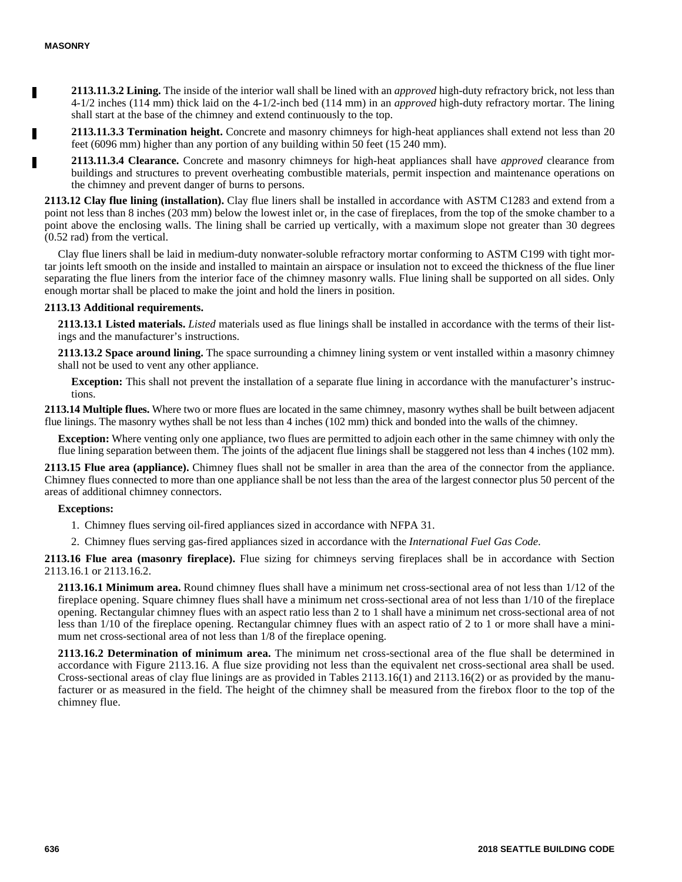П

**2113.11.3.2 Lining.** The inside of the interior wall shall be lined with an *approved* high-duty refractory brick, not less than 4-1/2 inches (114 mm) thick laid on the 4-1/2-inch bed (114 mm) in an *approved* high-duty refractory mortar. The lining shall start at the base of the chimney and extend continuously to the top.

**2113.11.3.3 Termination height.** Concrete and masonry chimneys for high-heat appliances shall extend not less than 20 feet (6096 mm) higher than any portion of any building within 50 feet (15 240 mm).

**2113.11.3.4 Clearance.** Concrete and masonry chimneys for high-heat appliances shall have *approved* clearance from buildings and structures to prevent overheating combustible materials, permit inspection and maintenance operations on the chimney and prevent danger of burns to persons.

**2113.12 Clay flue lining (installation).** Clay flue liners shall be installed in accordance with ASTM C1283 and extend from a point not less than 8 inches (203 mm) below the lowest inlet or, in the case of fireplaces, from the top of the smoke chamber to a point above the enclosing walls. The lining shall be carried up vertically, with a maximum slope not greater than 30 degrees (0.52 rad) from the vertical.

Clay flue liners shall be laid in medium-duty nonwater-soluble refractory mortar conforming to ASTM C199 with tight mortar joints left smooth on the inside and installed to maintain an airspace or insulation not to exceed the thickness of the flue liner separating the flue liners from the interior face of the chimney masonry walls. Flue lining shall be supported on all sides. Only enough mortar shall be placed to make the joint and hold the liners in position.

#### **2113.13 Additional requirements.**

**2113.13.1 Listed materials.** *Listed* materials used as flue linings shall be installed in accordance with the terms of their listings and the manufacturer's instructions.

**2113.13.2 Space around lining.** The space surrounding a chimney lining system or vent installed within a masonry chimney shall not be used to vent any other appliance.

**Exception:** This shall not prevent the installation of a separate flue lining in accordance with the manufacturer's instructions.

**2113.14 Multiple flues.** Where two or more flues are located in the same chimney, masonry wythes shall be built between adjacent flue linings. The masonry wythes shall be not less than 4 inches (102 mm) thick and bonded into the walls of the chimney.

**Exception:** Where venting only one appliance, two flues are permitted to adjoin each other in the same chimney with only the flue lining separation between them. The joints of the adjacent flue linings shall be staggered not less than 4 inches (102 mm).

**2113.15 Flue area (appliance).** Chimney flues shall not be smaller in area than the area of the connector from the appliance. Chimney flues connected to more than one appliance shall be not less than the area of the largest connector plus 50 percent of the areas of additional chimney connectors.

#### **Exceptions:**

1. Chimney flues serving oil-fired appliances sized in accordance with NFPA 31.

2. Chimney flues serving gas-fired appliances sized in accordance with the *International Fuel Gas Code*.

**2113.16 Flue area (masonry fireplace).** Flue sizing for chimneys serving fireplaces shall be in accordance with Section 2113.16.1 or 2113.16.2.

**2113.16.1 Minimum area.** Round chimney flues shall have a minimum net cross-sectional area of not less than 1/12 of the fireplace opening. Square chimney flues shall have a minimum net cross-sectional area of not less than 1/10 of the fireplace opening. Rectangular chimney flues with an aspect ratio less than 2 to 1 shall have a minimum net cross-sectional area of not less than 1/10 of the fireplace opening. Rectangular chimney flues with an aspect ratio of 2 to 1 or more shall have a minimum net cross-sectional area of not less than 1/8 of the fireplace opening.

**2113.16.2 Determination of minimum area.** The minimum net cross-sectional area of the flue shall be determined in accordance with Figure 2113.16. A flue size providing not less than the equivalent net cross-sectional area shall be used. Cross-sectional areas of clay flue linings are as provided in Tables 2113.16(1) and 2113.16(2) or as provided by the manufacturer or as measured in the field. The height of the chimney shall be measured from the firebox floor to the top of the chimney flue.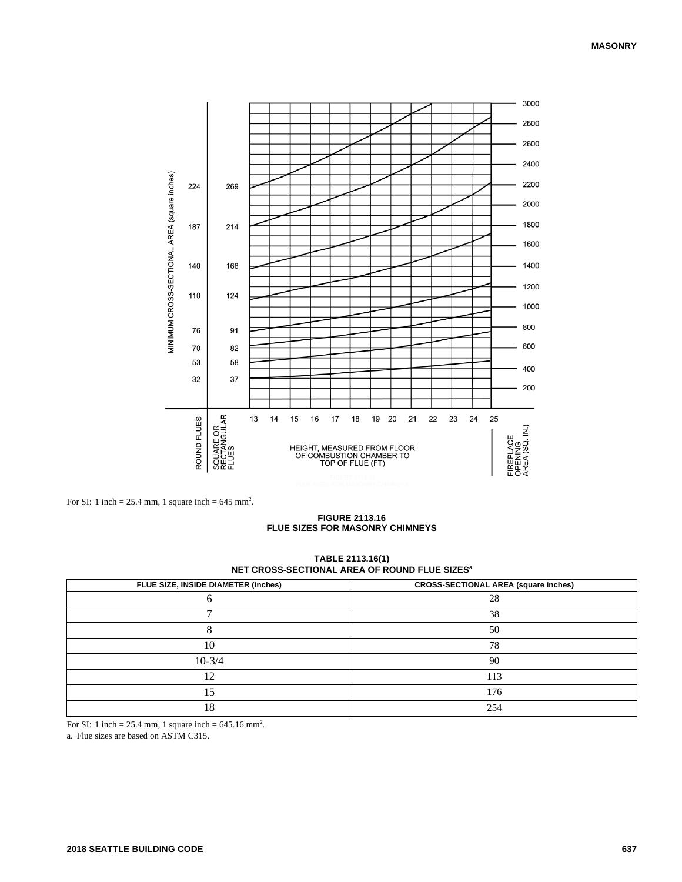

For SI: 1 inch =  $25.4$  mm, 1 square inch =  $645$  mm<sup>2</sup>.

**FIGURE 2113.16 FLUE SIZES FOR MASONRY CHIMNEYS**

| TABLE 2113.16(1)                                          |  |  |
|-----------------------------------------------------------|--|--|
| NET CROSS-SECTIONAL AREA OF ROUND FLUE SIZES <sup>a</sup> |  |  |

| FLUE SIZE, INSIDE DIAMETER (inches) | <b>CROSS-SECTIONAL AREA (square inches)</b> |
|-------------------------------------|---------------------------------------------|
|                                     | 28                                          |
| −                                   | 38                                          |
|                                     | 50                                          |
| 10                                  | 78                                          |
| $10-3/4$                            | 90                                          |
| 12                                  | 113                                         |
|                                     | 176                                         |
| 18                                  | 254                                         |

For SI: 1 inch = 25.4 mm, 1 square inch =  $645.16$  mm<sup>2</sup>.

a. Flue sizes are based on ASTM C315.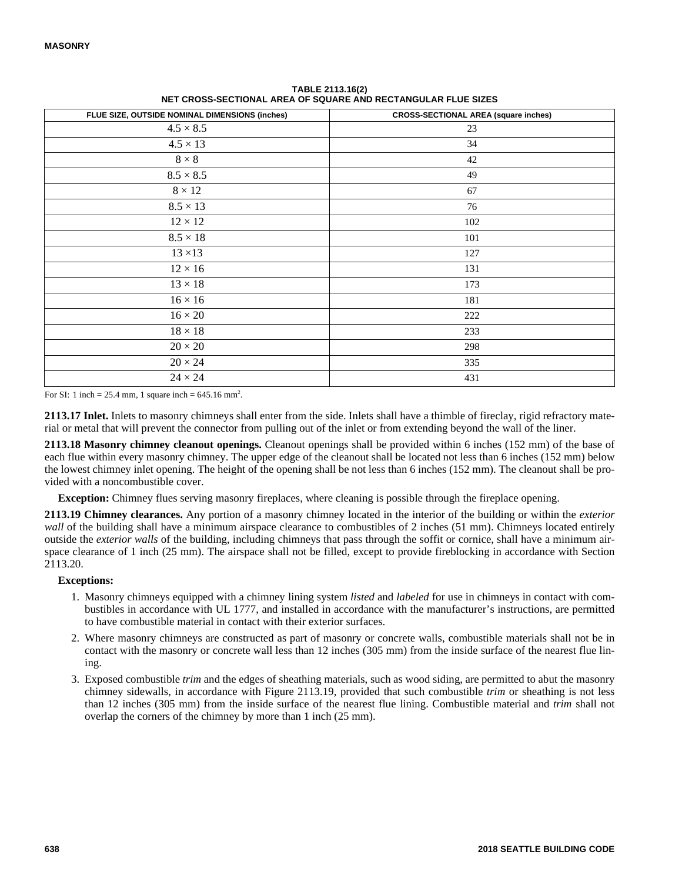| FLUE SIZE, OUTSIDE NOMINAL DIMENSIONS (inches) | <b>CROSS-SECTIONAL AREA (square inches)</b> |
|------------------------------------------------|---------------------------------------------|
| $4.5 \times 8.5$                               | 23                                          |
| $4.5 \times 13$                                | 34                                          |
| $8\times8$                                     | 42                                          |
| $8.5 \times 8.5$                               | 49                                          |
| $8\times12$                                    | 67                                          |
| $8.5 \times 13$                                | 76                                          |
| $12 \times 12$                                 | 102                                         |
| $8.5 \times 18$                                | 101                                         |
| $13 \times 13$                                 | 127                                         |
| $12\times16$                                   | 131                                         |
| $13\times18$                                   | 173                                         |
| $16 \times 16$                                 | 181                                         |
| $16\times20$                                   | 222                                         |
| $18\times18$                                   | 233                                         |
| $20\times20$                                   | 298                                         |
| $20 \times 24$                                 | 335                                         |
| $24 \times 24$                                 | 431                                         |

**TABLE 2113.16(2) NET CROSS-SECTIONAL AREA OF SQUARE AND RECTANGULAR FLUE SIZES**

For SI: 1 inch = 25.4 mm, 1 square inch =  $645.16$  mm<sup>2</sup>.

**2113.17 Inlet.** Inlets to masonry chimneys shall enter from the side. Inlets shall have a thimble of fireclay, rigid refractory material or metal that will prevent the connector from pulling out of the inlet or from extending beyond the wall of the liner.

**2113.18 Masonry chimney cleanout openings.** Cleanout openings shall be provided within 6 inches (152 mm) of the base of each flue within every masonry chimney. The upper edge of the cleanout shall be located not less than 6 inches (152 mm) below the lowest chimney inlet opening. The height of the opening shall be not less than 6 inches (152 mm). The cleanout shall be provided with a noncombustible cover.

**Exception:** Chimney flues serving masonry fireplaces, where cleaning is possible through the fireplace opening.

**2113.19 Chimney clearances.** Any portion of a masonry chimney located in the interior of the building or within the *exterior wall* of the building shall have a minimum airspace clearance to combustibles of 2 inches (51 mm). Chimneys located entirely outside the *exterior walls* of the building, including chimneys that pass through the soffit or cornice, shall have a minimum airspace clearance of 1 inch (25 mm). The airspace shall not be filled, except to provide fireblocking in accordance with Section 2113.20.

#### **Exceptions:**

- 1. Masonry chimneys equipped with a chimney lining system *listed* and *labeled* for use in chimneys in contact with combustibles in accordance with UL 1777, and installed in accordance with the manufacturer's instructions, are permitted to have combustible material in contact with their exterior surfaces.
- 2. Where masonry chimneys are constructed as part of masonry or concrete walls, combustible materials shall not be in contact with the masonry or concrete wall less than 12 inches (305 mm) from the inside surface of the nearest flue lining.
- 3. Exposed combustible *trim* and the edges of sheathing materials, such as wood siding, are permitted to abut the masonry chimney sidewalls, in accordance with Figure 2113.19, provided that such combustible *trim* or sheathing is not less than 12 inches (305 mm) from the inside surface of the nearest flue lining. Combustible material and *trim* shall not overlap the corners of the chimney by more than 1 inch (25 mm).